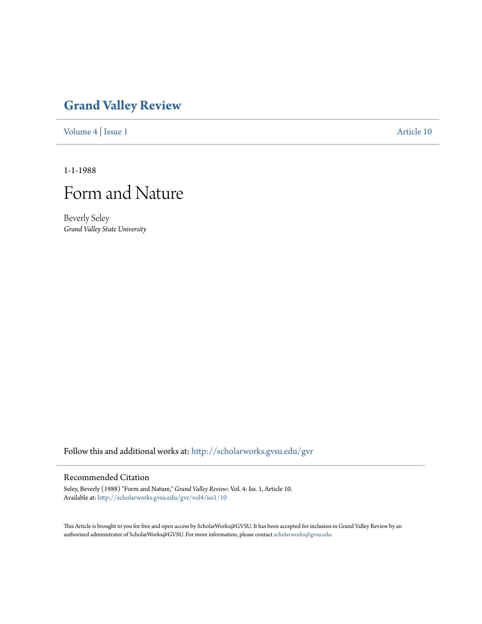## **[Grand Valley Review](http://scholarworks.gvsu.edu/gvr?utm_source=scholarworks.gvsu.edu%2Fgvr%2Fvol4%2Fiss1%2F10&utm_medium=PDF&utm_campaign=PDFCoverPages)**

[Volume 4](http://scholarworks.gvsu.edu/gvr/vol4?utm_source=scholarworks.gvsu.edu%2Fgvr%2Fvol4%2Fiss1%2F10&utm_medium=PDF&utm_campaign=PDFCoverPages) | [Issue 1](http://scholarworks.gvsu.edu/gvr/vol4/iss1?utm_source=scholarworks.gvsu.edu%2Fgvr%2Fvol4%2Fiss1%2F10&utm_medium=PDF&utm_campaign=PDFCoverPages) [Article 10](http://scholarworks.gvsu.edu/gvr/vol4/iss1/10?utm_source=scholarworks.gvsu.edu%2Fgvr%2Fvol4%2Fiss1%2F10&utm_medium=PDF&utm_campaign=PDFCoverPages)

1-1-1988



Beverly Seley *Grand Valley State University*

Follow this and additional works at: [http://scholarworks.gvsu.edu/gvr](http://scholarworks.gvsu.edu/gvr?utm_source=scholarworks.gvsu.edu%2Fgvr%2Fvol4%2Fiss1%2F10&utm_medium=PDF&utm_campaign=PDFCoverPages)

## Recommended Citation

Seley, Beverly (1988) "Form and Nature," *Grand Valley Review*: Vol. 4: Iss. 1, Article 10. Available at: [http://scholarworks.gvsu.edu/gvr/vol4/iss1/10](http://scholarworks.gvsu.edu/gvr/vol4/iss1/10?utm_source=scholarworks.gvsu.edu%2Fgvr%2Fvol4%2Fiss1%2F10&utm_medium=PDF&utm_campaign=PDFCoverPages)

This Article is brought to you for free and open access by ScholarWorks@GVSU. It has been accepted for inclusion in Grand Valley Review by an authorized administrator of ScholarWorks@GVSU. For more information, please contact [scholarworks@gvsu.edu.](mailto:scholarworks@gvsu.edu)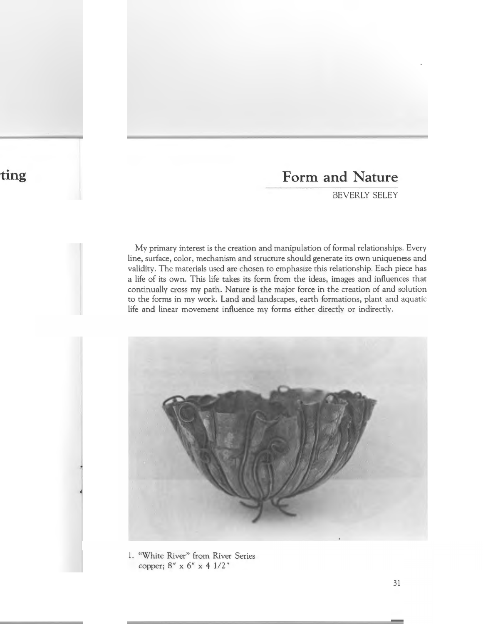## **Form and Nature**

BEVERLY SELEY

My primary interest is the creation and manipulation of formal relationships. Every line, surface, color, mechanism and structure should generate its own uniqueness and validity. The materials used are chosen to emphasize this relationship. Each piece has a life of its own. This life takes its form from the ideas, images and influences that continually cross my path. Nature is the major force in the creation of and solution to the forms in my work. Land and landscapes, earth formations, plant and aquatic life and linear movement influence my forms either directly or indirectly.



1. "White River" from River Series copper; 8" x 6" x 4 1/2"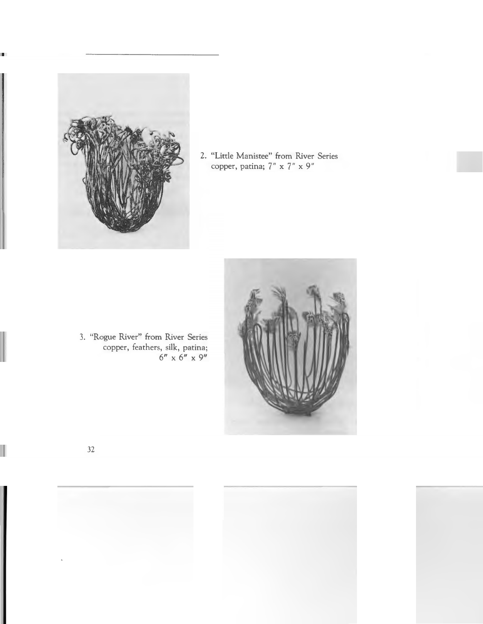

2. "Little Manistee" from River Series copper, patina; 7" x 7" x 9"

3. "Rogue River" from River Series copper, feathers, silk, patina;  $6'' \times 6'' \times 9''$ 

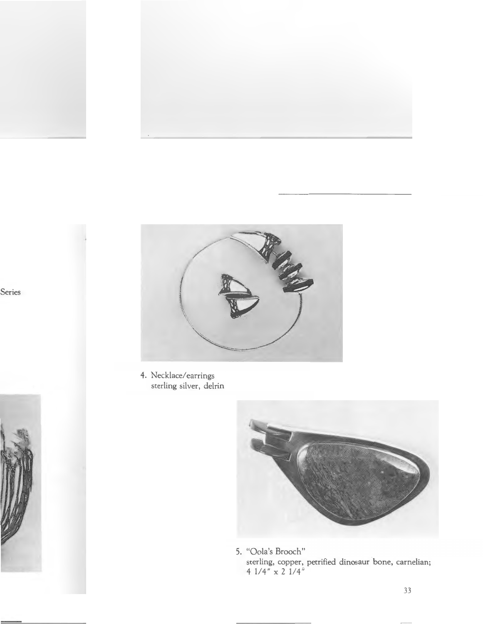

4. Necklace/earrings sterling silver, delrin



5. "Oola's Brooch" sterling, copper, petrified dinosaur bone, carnelian;<br> 4 $1/4$  "  $\times$  2  $1/4$  "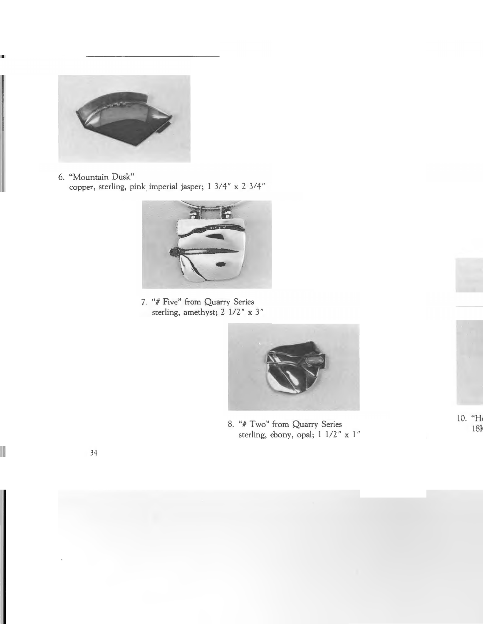

6. "Mountain Dusk" copper, sterling, pink\_ imperial jasper; 1 3/4" x 2 3/4"



7. *"#* Five" from Quarry Series sterling, amethyst; 2 1/2" x 3"



8. "#Two" from Quarry Series sterling, ebony, opal; 1 1/2" x 1"